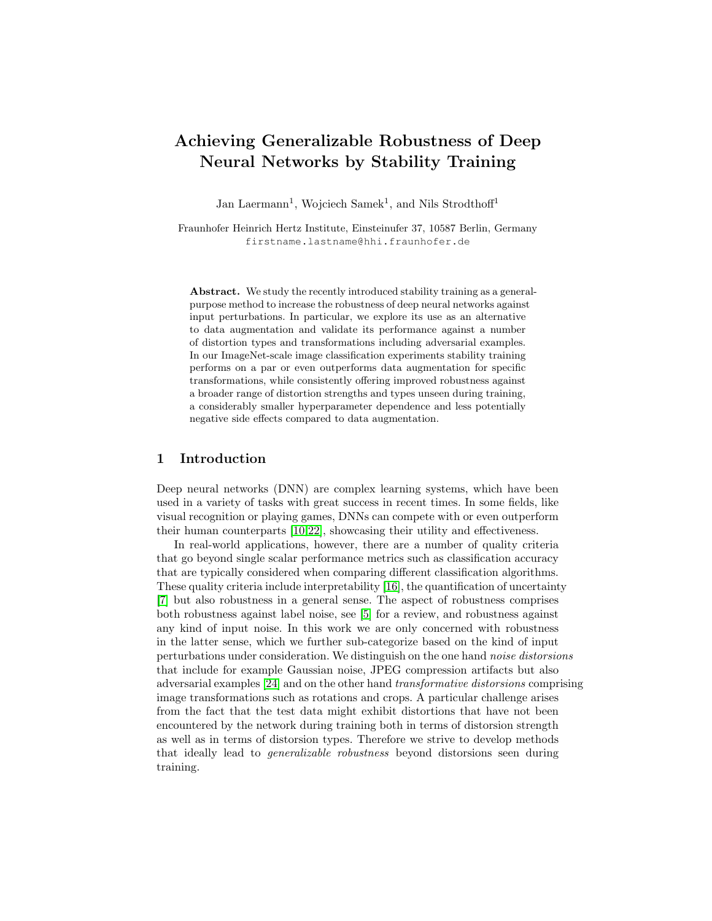# Achieving Generalizable Robustness of Deep Neural Networks by Stability Training

Jan Laermann<sup>1</sup>, Wojciech Samek<sup>1</sup>, and Nils Strodthoff<sup>1</sup>

Fraunhofer Heinrich Hertz Institute, Einsteinufer 37, 10587 Berlin, Germany firstname.lastname@hhi.fraunhofer.de

Abstract. We study the recently introduced stability training as a generalpurpose method to increase the robustness of deep neural networks against input perturbations. In particular, we explore its use as an alternative to data augmentation and validate its performance against a number of distortion types and transformations including adversarial examples. In our ImageNet-scale image classification experiments stability training performs on a par or even outperforms data augmentation for specific transformations, while consistently offering improved robustness against a broader range of distortion strengths and types unseen during training, a considerably smaller hyperparameter dependence and less potentially negative side effects compared to data augmentation.

## 1 Introduction

Deep neural networks (DNN) are complex learning systems, which have been used in a variety of tasks with great success in recent times. In some fields, like visual recognition or playing games, DNNs can compete with or even outperform their human counterparts [\[10,](#page-11-0)[22\]](#page-12-0), showcasing their utility and effectiveness.

In real-world applications, however, there are a number of quality criteria that go beyond single scalar performance metrics such as classification accuracy that are typically considered when comparing different classification algorithms. These quality criteria include interpretability [\[16\]](#page-12-1), the quantification of uncertainty [\[7\]](#page-11-1) but also robustness in a general sense. The aspect of robustness comprises both robustness against label noise, see [\[5\]](#page-11-2) for a review, and robustness against any kind of input noise. In this work we are only concerned with robustness in the latter sense, which we further sub-categorize based on the kind of input perturbations under consideration. We distinguish on the one hand noise distorsions that include for example Gaussian noise, JPEG compression artifacts but also adversarial examples [\[24\]](#page-12-2) and on the other hand transformative distorsions comprising image transformations such as rotations and crops. A particular challenge arises from the fact that the test data might exhibit distortions that have not been encountered by the network during training both in terms of distorsion strength as well as in terms of distorsion types. Therefore we strive to develop methods that ideally lead to generalizable robustness beyond distorsions seen during training.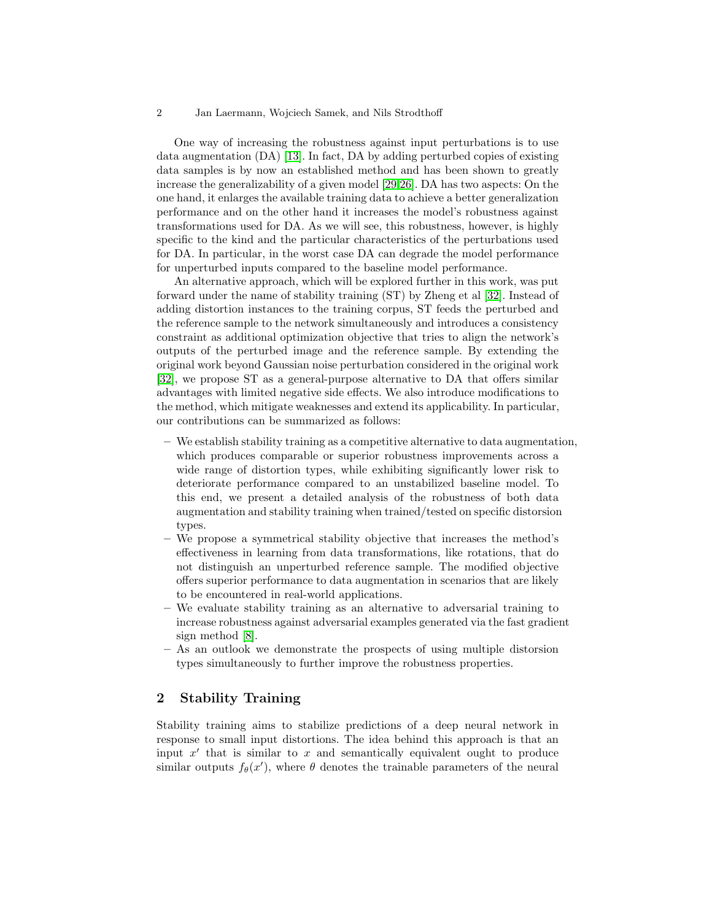#### 2 Jan Laermann, Wojciech Samek, and Nils Strodthoff

One way of increasing the robustness against input perturbations is to use data augmentation (DA) [\[13\]](#page-12-3). In fact, DA by adding perturbed copies of existing data samples is by now an established method and has been shown to greatly increase the generalizability of a given model [\[29,](#page-12-4)[26\]](#page-12-5). DA has two aspects: On the one hand, it enlarges the available training data to achieve a better generalization performance and on the other hand it increases the model's robustness against transformations used for DA. As we will see, this robustness, however, is highly specific to the kind and the particular characteristics of the perturbations used for DA. In particular, in the worst case DA can degrade the model performance for unperturbed inputs compared to the baseline model performance.

An alternative approach, which will be explored further in this work, was put forward under the name of stability training (ST) by Zheng et al [\[32\]](#page-13-0). Instead of adding distortion instances to the training corpus, ST feeds the perturbed and the reference sample to the network simultaneously and introduces a consistency constraint as additional optimization objective that tries to align the network's outputs of the perturbed image and the reference sample. By extending the original work beyond Gaussian noise perturbation considered in the original work [\[32\]](#page-13-0), we propose ST as a general-purpose alternative to DA that offers similar advantages with limited negative side effects. We also introduce modifications to the method, which mitigate weaknesses and extend its applicability. In particular, our contributions can be summarized as follows:

- We establish stability training as a competitive alternative to data augmentation, which produces comparable or superior robustness improvements across a wide range of distortion types, while exhibiting significantly lower risk to deteriorate performance compared to an unstabilized baseline model. To this end, we present a detailed analysis of the robustness of both data augmentation and stability training when trained/tested on specific distorsion types.
- We propose a symmetrical stability objective that increases the method's effectiveness in learning from data transformations, like rotations, that do not distinguish an unperturbed reference sample. The modified objective offers superior performance to data augmentation in scenarios that are likely to be encountered in real-world applications.
- We evaluate stability training as an alternative to adversarial training to increase robustness against adversarial examples generated via the fast gradient sign method [\[8\]](#page-11-3).
- As an outlook we demonstrate the prospects of using multiple distorsion types simultaneously to further improve the robustness properties.

# 2 Stability Training

Stability training aims to stabilize predictions of a deep neural network in response to small input distortions. The idea behind this approach is that an input  $x'$  that is similar to  $x$  and semantically equivalent ought to produce similar outputs  $f_{\theta}(x')$ , where  $\theta$  denotes the trainable parameters of the neural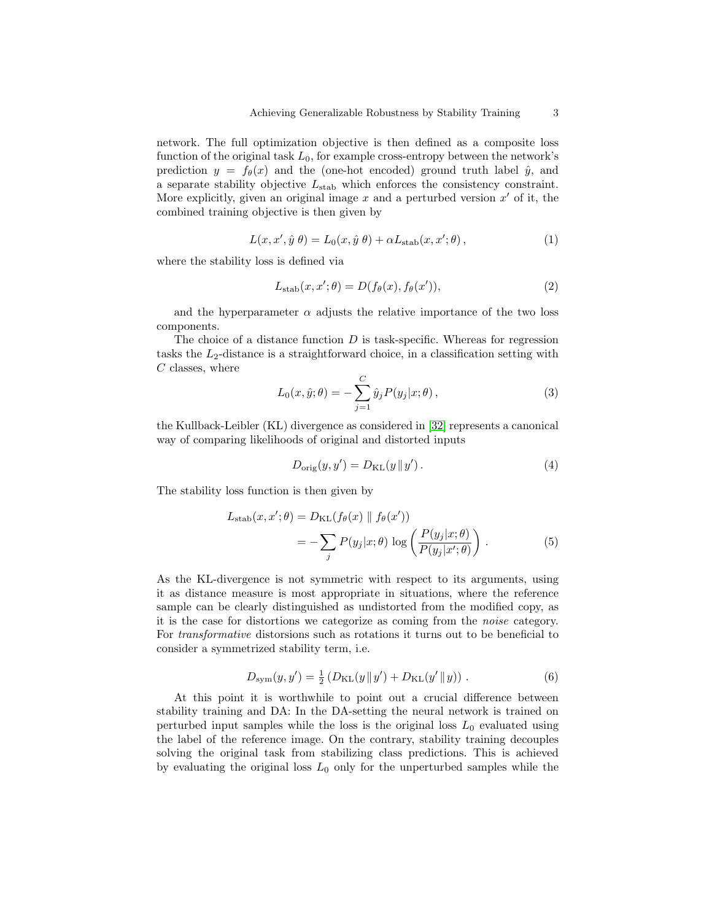network. The full optimization objective is then defined as a composite loss function of the original task  $L_0$ , for example cross-entropy between the network's prediction  $y = f_{\theta}(x)$  and the (one-hot encoded) ground truth label  $\hat{y}$ , and a separate stability objective  $L_{stab}$  which enforces the consistency constraint. More explicitly, given an original image  $x$  and a perturbed version  $x'$  of it, the combined training objective is then given by

<span id="page-2-1"></span>
$$
L(x, x', \hat{y} \theta) = L_0(x, \hat{y} \theta) + \alpha L_{\text{stab}}(x, x'; \theta), \qquad (1)
$$

where the stability loss is defined via

<span id="page-2-0"></span>
$$
L_{\text{stab}}(x, x'; \theta) = D(f_{\theta}(x), f_{\theta}(x')), \qquad (2)
$$

and the hyperparameter  $\alpha$  adjusts the relative importance of the two loss components.

The choice of a distance function  $D$  is task-specific. Whereas for regression tasks the  $L_2$ -distance is a straightforward choice, in a classification setting with  $C$  classes, where

$$
L_0(x, \hat{y}; \theta) = -\sum_{j=1}^{C} \hat{y}_j P(y_j | x; \theta), \qquad (3)
$$

the Kullback-Leibler (KL) divergence as considered in [\[32\]](#page-13-0) represents a canonical way of comparing likelihoods of original and distorted inputs

$$
D_{\text{orig}}(y, y') = D_{\text{KL}}(y || y'). \qquad (4)
$$

The stability loss function is then given by

$$
L_{\text{stab}}(x, x'; \theta) = D_{\text{KL}}(f_{\theta}(x) \parallel f_{\theta}(x'))
$$
  
= 
$$
- \sum_{j} P(y_j | x; \theta) \log \left( \frac{P(y_j | x; \theta)}{P(y_j | x'; \theta)} \right).
$$
 (5)

As the KL-divergence is not symmetric with respect to its arguments, using it as distance measure is most appropriate in situations, where the reference sample can be clearly distinguished as undistorted from the modified copy, as it is the case for distortions we categorize as coming from the noise category. For transformative distorsions such as rotations it turns out to be beneficial to consider a symmetrized stability term, i.e.

<span id="page-2-2"></span>
$$
D_{\rm sym}(y, y') = \frac{1}{2} \left( D_{\rm KL}(y || y') + D_{\rm KL}(y' || y) \right). \tag{6}
$$

At this point it is worthwhile to point out a crucial difference between stability training and DA: In the DA-setting the neural network is trained on perturbed input samples while the loss is the original loss  $L_0$  evaluated using the label of the reference image. On the contrary, stability training decouples solving the original task from stabilizing class predictions. This is achieved by evaluating the original loss  $L_0$  only for the unperturbed samples while the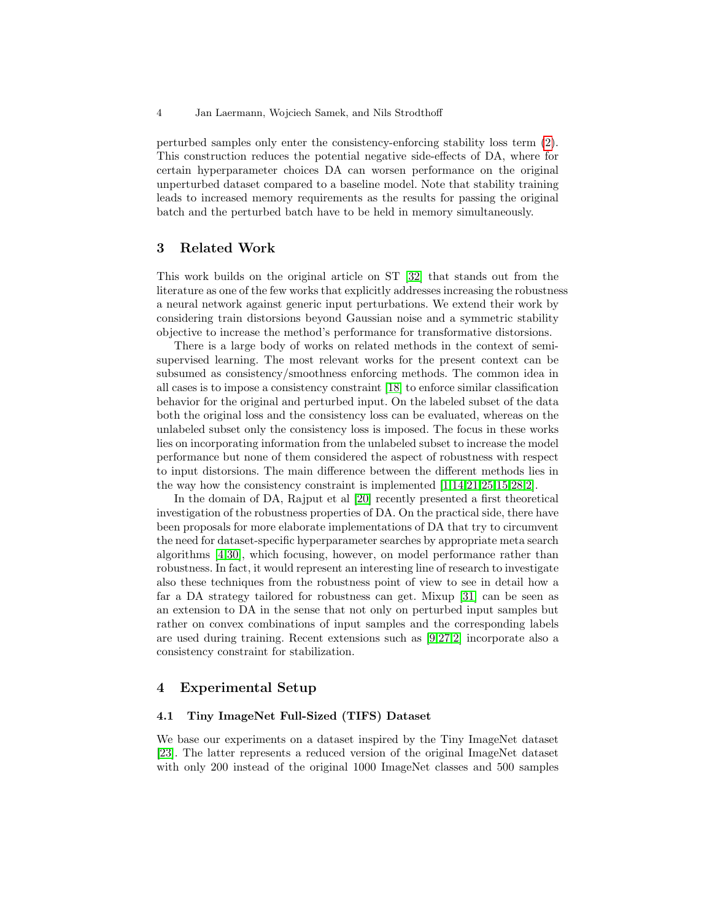perturbed samples only enter the consistency-enforcing stability loss term [\(2\)](#page-2-0). This construction reduces the potential negative side-effects of DA, where for certain hyperparameter choices DA can worsen performance on the original unperturbed dataset compared to a baseline model. Note that stability training leads to increased memory requirements as the results for passing the original batch and the perturbed batch have to be held in memory simultaneously.

# 3 Related Work

This work builds on the original article on ST [\[32\]](#page-13-0) that stands out from the literature as one of the few works that explicitly addresses increasing the robustness a neural network against generic input perturbations. We extend their work by considering train distorsions beyond Gaussian noise and a symmetric stability objective to increase the method's performance for transformative distorsions.

There is a large body of works on related methods in the context of semisupervised learning. The most relevant works for the present context can be subsumed as consistency/smoothness enforcing methods. The common idea in all cases is to impose a consistency constraint [\[18\]](#page-12-6) to enforce similar classification behavior for the original and perturbed input. On the labeled subset of the data both the original loss and the consistency loss can be evaluated, whereas on the unlabeled subset only the consistency loss is imposed. The focus in these works lies on incorporating information from the unlabeled subset to increase the model performance but none of them considered the aspect of robustness with respect to input distorsions. The main difference between the different methods lies in the way how the consistency constraint is implemented [\[1,](#page-11-4)[14,](#page-12-7)[21](#page-12-8)[,25,](#page-12-9)[15,](#page-12-10)[28,](#page-12-11)[2\]](#page-11-5).

In the domain of DA, Rajput et al [\[20\]](#page-12-12) recently presented a first theoretical investigation of the robustness properties of DA. On the practical side, there have been proposals for more elaborate implementations of DA that try to circumvent the need for dataset-specific hyperparameter searches by appropriate meta search algorithms [\[4](#page-11-6)[,30\]](#page-12-13), which focusing, however, on model performance rather than robustness. In fact, it would represent an interesting line of research to investigate also these techniques from the robustness point of view to see in detail how a far a DA strategy tailored for robustness can get. Mixup [\[31\]](#page-12-14) can be seen as an extension to DA in the sense that not only on perturbed input samples but rather on convex combinations of input samples and the corresponding labels are used during training. Recent extensions such as [\[9](#page-11-7)[,27,](#page-12-15)[2\]](#page-11-5) incorporate also a consistency constraint for stabilization.

## 4 Experimental Setup

## 4.1 Tiny ImageNet Full-Sized (TIFS) Dataset

We base our experiments on a dataset inspired by the Tiny ImageNet dataset [\[23\]](#page-12-16). The latter represents a reduced version of the original ImageNet dataset with only 200 instead of the original 1000 ImageNet classes and 500 samples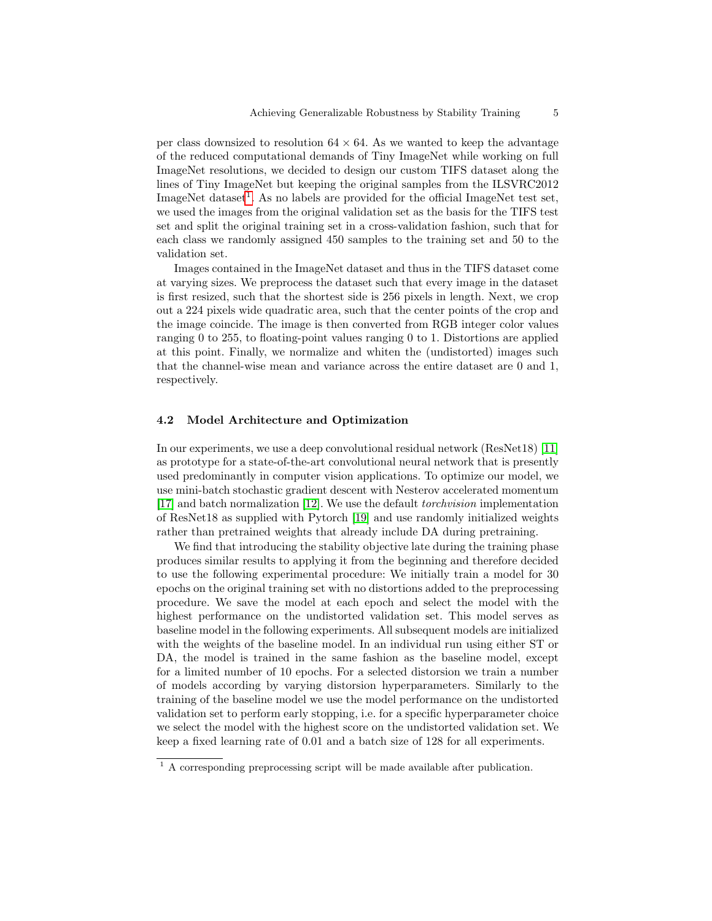per class downsized to resolution  $64 \times 64$ . As we wanted to keep the advantage of the reduced computational demands of Tiny ImageNet while working on full ImageNet resolutions, we decided to design our custom TIFS dataset along the lines of Tiny ImageNet but keeping the original samples from the ILSVRC2012 ImageNet dataset<sup>[1](#page-4-0)</sup>. As no labels are provided for the official ImageNet test set, we used the images from the original validation set as the basis for the TIFS test set and split the original training set in a cross-validation fashion, such that for each class we randomly assigned 450 samples to the training set and 50 to the validation set.

Images contained in the ImageNet dataset and thus in the TIFS dataset come at varying sizes. We preprocess the dataset such that every image in the dataset is first resized, such that the shortest side is 256 pixels in length. Next, we crop out a 224 pixels wide quadratic area, such that the center points of the crop and the image coincide. The image is then converted from RGB integer color values ranging 0 to 255, to floating-point values ranging 0 to 1. Distortions are applied at this point. Finally, we normalize and whiten the (undistorted) images such that the channel-wise mean and variance across the entire dataset are 0 and 1, respectively.

## 4.2 Model Architecture and Optimization

In our experiments, we use a deep convolutional residual network (ResNet18) [\[11\]](#page-11-8) as prototype for a state-of-the-art convolutional neural network that is presently used predominantly in computer vision applications. To optimize our model, we use mini-batch stochastic gradient descent with Nesterov accelerated momentum [\[17\]](#page-12-17) and batch normalization [\[12\]](#page-12-18). We use the default torchvision implementation of ResNet18 as supplied with Pytorch [\[19\]](#page-12-19) and use randomly initialized weights rather than pretrained weights that already include DA during pretraining.

We find that introducing the stability objective late during the training phase produces similar results to applying it from the beginning and therefore decided to use the following experimental procedure: We initially train a model for 30 epochs on the original training set with no distortions added to the preprocessing procedure. We save the model at each epoch and select the model with the highest performance on the undistorted validation set. This model serves as baseline model in the following experiments. All subsequent models are initialized with the weights of the baseline model. In an individual run using either ST or DA, the model is trained in the same fashion as the baseline model, except for a limited number of 10 epochs. For a selected distorsion we train a number of models according by varying distorsion hyperparameters. Similarly to the training of the baseline model we use the model performance on the undistorted validation set to perform early stopping, i.e. for a specific hyperparameter choice we select the model with the highest score on the undistorted validation set. We keep a fixed learning rate of 0.01 and a batch size of 128 for all experiments.

<span id="page-4-0"></span> $^{\rm 1}$  A corresponding preprocessing script will be made available after publication.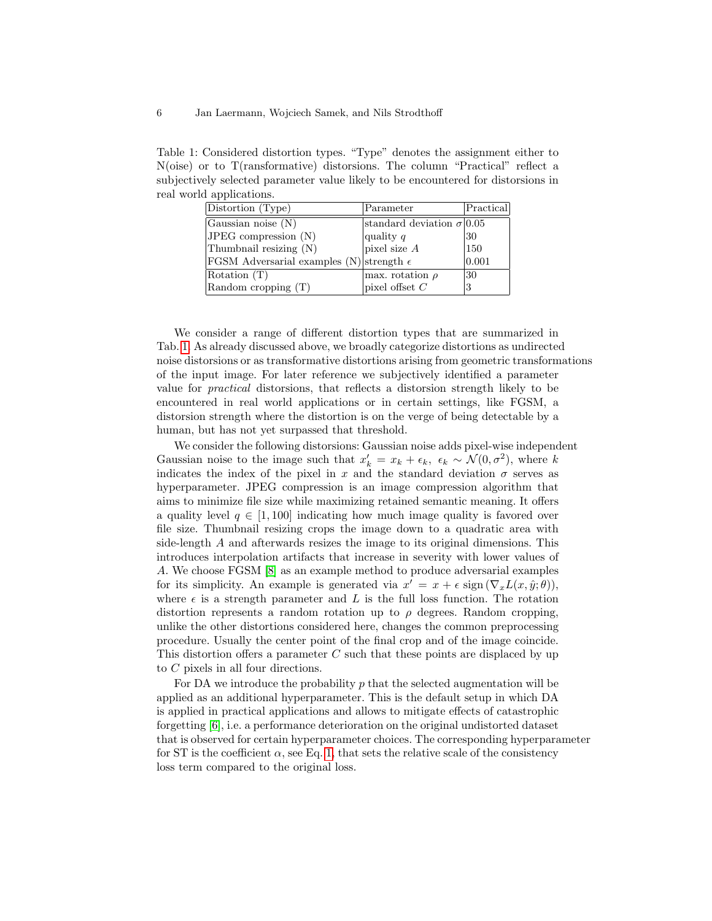#### 6 Jan Laermann, Wojciech Samek, and Nils Strodthoff

<span id="page-5-0"></span>Table 1: Considered distortion types. "Type" denotes the assignment either to N(oise) or to T(ransformative) distorsions. The column "Practical" reflect a subjectively selected parameter value likely to be encountered for distorsions in real world applications.

| Distortion (Type)                                 | Parameter                        | Practical |
|---------------------------------------------------|----------------------------------|-----------|
| Gaussian noise $(N)$                              | standard deviation $\sigma$ 0.05 |           |
| JPEG compression (N)                              | quality $q$                      | 30        |
| Thumbnail resizing (N)                            | pixel size A                     | 150       |
| FGSM Adversarial examples (N) strength $\epsilon$ |                                  | 0.001     |
| Rotation (T)                                      | $\vert$ max. rotation $\rho$     | 30        |
| Random cropping $(T)$                             | $ $ pixel offset $C$             | 3         |

We consider a range of different distortion types that are summarized in Tab. [1.](#page-5-0) As already discussed above, we broadly categorize distortions as undirected noise distorsions or as transformative distortions arising from geometric transformations of the input image. For later reference we subjectively identified a parameter value for practical distorsions, that reflects a distorsion strength likely to be encountered in real world applications or in certain settings, like FGSM, a distorsion strength where the distortion is on the verge of being detectable by a human, but has not yet surpassed that threshold.

We consider the following distorsions: Gaussian noise adds pixel-wise independent Gaussian noise to the image such that  $x'_k = x_k + \epsilon_k, \ \epsilon_k \sim \mathcal{N}(0, \sigma^2)$ , where k indicates the index of the pixel in x and the standard deviation  $\sigma$  serves as hyperparameter. JPEG compression is an image compression algorithm that aims to minimize file size while maximizing retained semantic meaning. It offers a quality level  $q \in [1, 100]$  indicating how much image quality is favored over file size. Thumbnail resizing crops the image down to a quadratic area with side-length A and afterwards resizes the image to its original dimensions. This introduces interpolation artifacts that increase in severity with lower values of A. We choose FGSM [\[8\]](#page-11-3) as an example method to produce adversarial examples for its simplicity. An example is generated via  $x' = x + \epsilon \operatorname{sign}(\nabla_x L(x, \hat{y}; \theta)),$ where  $\epsilon$  is a strength parameter and L is the full loss function. The rotation distortion represents a random rotation up to  $\rho$  degrees. Random cropping, unlike the other distortions considered here, changes the common preprocessing procedure. Usually the center point of the final crop and of the image coincide. This distortion offers a parameter  $C$  such that these points are displaced by up to C pixels in all four directions.

For DA we introduce the probability  $p$  that the selected augmentation will be applied as an additional hyperparameter. This is the default setup in which DA is applied in practical applications and allows to mitigate effects of catastrophic forgetting [\[6\]](#page-11-9), i.e. a performance deterioration on the original undistorted dataset that is observed for certain hyperparameter choices. The corresponding hyperparameter for ST is the coefficient  $\alpha$ , see Eq. [1,](#page-2-1) that sets the relative scale of the consistency loss term compared to the original loss.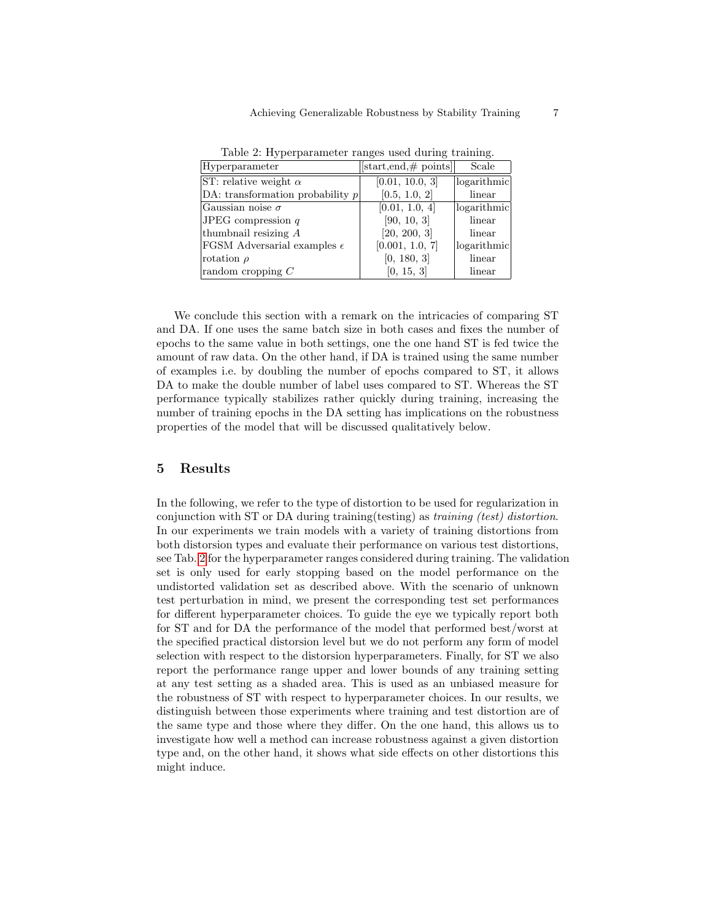<span id="page-6-0"></span>

| Hyperparameter                       | $[\text{start}, \text{end}, \# \text{points}]$ | Scale       |
|--------------------------------------|------------------------------------------------|-------------|
| ST: relative weight $\alpha$         | [0.01, 10.0, 3]                                | logarithmic |
| DA: transformation probability $p$   | [0.5, 1.0, 2]                                  | linear      |
| Gaussian noise $\sigma$              | [0.01, 1.0, 4]                                 | logarithmic |
| JPEG compression $q$                 | [90, 10, 3]                                    | linear      |
| thumbnail resizing $A$               | [20, 200, 3]                                   | linear      |
| FGSM Adversarial examples $\epsilon$ | [0.001, 1.0, 7]                                | logarithmic |
| rotation $\rho$                      | [0, 180, 3]                                    | linear      |
| random cropping $C$                  | [0, 15, 3]                                     | linear      |

Table 2: Hyperparameter ranges used during training.

We conclude this section with a remark on the intricacies of comparing ST and DA. If one uses the same batch size in both cases and fixes the number of epochs to the same value in both settings, one the one hand ST is fed twice the amount of raw data. On the other hand, if DA is trained using the same number of examples i.e. by doubling the number of epochs compared to ST, it allows DA to make the double number of label uses compared to ST. Whereas the ST performance typically stabilizes rather quickly during training, increasing the number of training epochs in the DA setting has implications on the robustness properties of the model that will be discussed qualitatively below.

## 5 Results

In the following, we refer to the type of distortion to be used for regularization in conjunction with ST or DA during training(testing) as training (test) distortion. In our experiments we train models with a variety of training distortions from both distorsion types and evaluate their performance on various test distortions, see Tab. [2](#page-6-0) for the hyperparameter ranges considered during training. The validation set is only used for early stopping based on the model performance on the undistorted validation set as described above. With the scenario of unknown test perturbation in mind, we present the corresponding test set performances for different hyperparameter choices. To guide the eye we typically report both for ST and for DA the performance of the model that performed best/worst at the specified practical distorsion level but we do not perform any form of model selection with respect to the distorsion hyperparameters. Finally, for ST we also report the performance range upper and lower bounds of any training setting at any test setting as a shaded area. This is used as an unbiased measure for the robustness of ST with respect to hyperparameter choices. In our results, we distinguish between those experiments where training and test distortion are of the same type and those where they differ. On the one hand, this allows us to investigate how well a method can increase robustness against a given distortion type and, on the other hand, it shows what side effects on other distortions this might induce.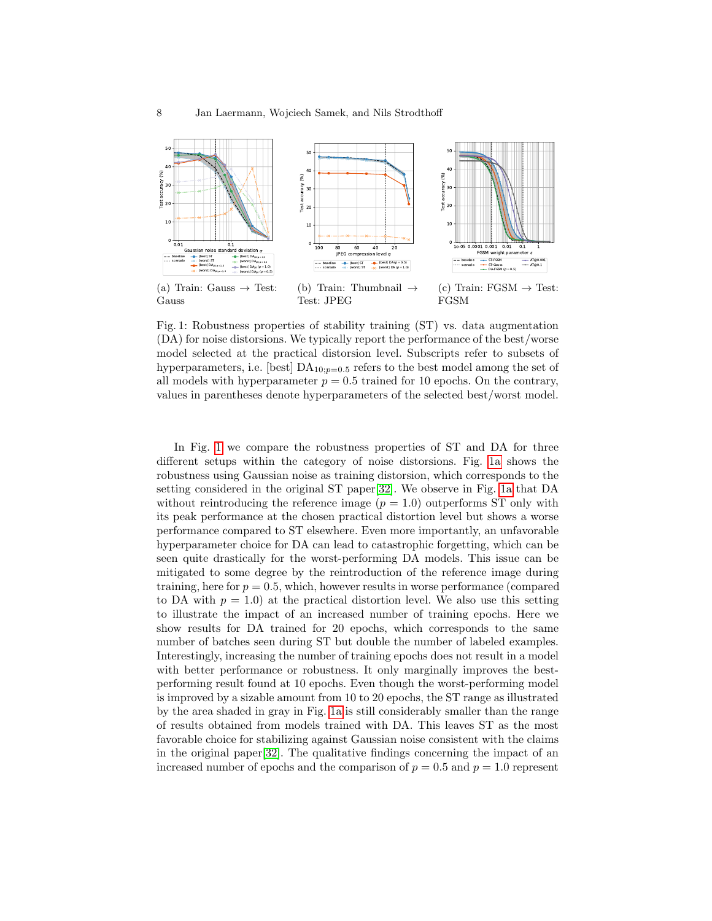<span id="page-7-0"></span>

Fig. 1: Robustness properties of stability training (ST) vs. data augmentation (DA) for noise distorsions. We typically report the performance of the best/worse model selected at the practical distorsion level. Subscripts refer to subsets of hyperparameters, i.e. [best]  $DA_{10:n=0.5}$  refers to the best model among the set of all models with hyperparameter  $p = 0.5$  trained for 10 epochs. On the contrary, values in parentheses denote hyperparameters of the selected best/worst model.

In Fig. [1](#page-7-0) we compare the robustness properties of ST and DA for three different setups within the category of noise distorsions. Fig. [1a](#page-7-0) shows the robustness using Gaussian noise as training distorsion, which corresponds to the setting considered in the original ST paper[\[32\]](#page-13-0). We observe in Fig. [1a](#page-7-0) that DA without reintroducing the reference image  $(p = 1.0)$  outperforms ST only with its peak performance at the chosen practical distortion level but shows a worse performance compared to ST elsewhere. Even more importantly, an unfavorable hyperparameter choice for DA can lead to catastrophic forgetting, which can be seen quite drastically for the worst-performing DA models. This issue can be mitigated to some degree by the reintroduction of the reference image during training, here for  $p = 0.5$ , which, however results in worse performance (compared to DA with  $p = 1.0$ ) at the practical distortion level. We also use this setting to illustrate the impact of an increased number of training epochs. Here we show results for DA trained for 20 epochs, which corresponds to the same number of batches seen during ST but double the number of labeled examples. Interestingly, increasing the number of training epochs does not result in a model with better performance or robustness. It only marginally improves the bestperforming result found at 10 epochs. Even though the worst-performing model is improved by a sizable amount from 10 to 20 epochs, the ST range as illustrated by the area shaded in gray in Fig. [1a](#page-7-0) is still considerably smaller than the range of results obtained from models trained with DA. This leaves ST as the most favorable choice for stabilizing against Gaussian noise consistent with the claims in the original paper[\[32\]](#page-13-0). The qualitative findings concerning the impact of an increased number of epochs and the comparison of  $p = 0.5$  and  $p = 1.0$  represent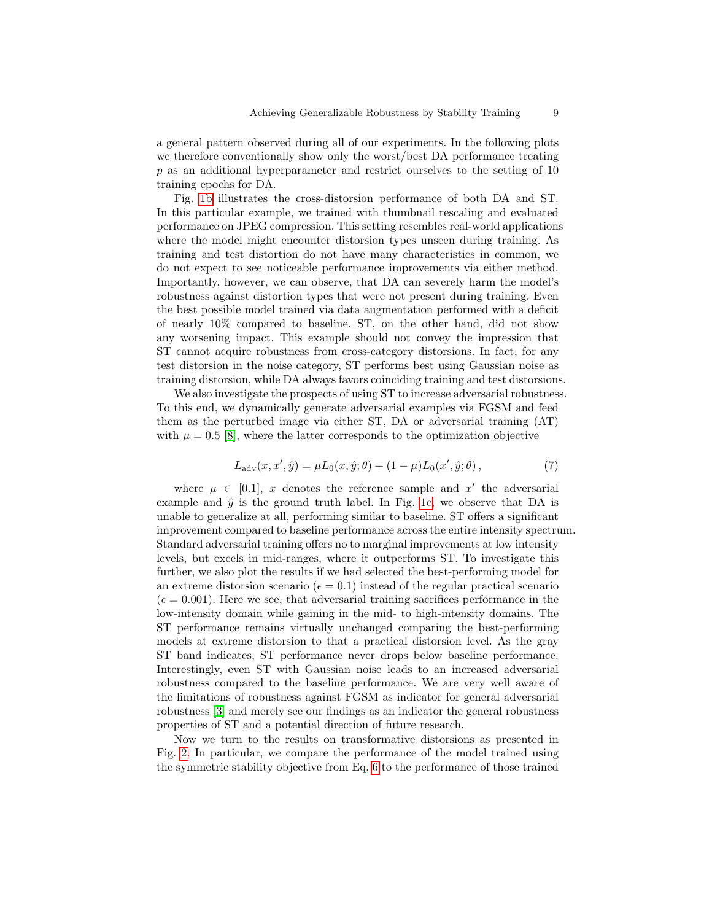a general pattern observed during all of our experiments. In the following plots we therefore conventionally show only the worst/best DA performance treating p as an additional hyperparameter and restrict ourselves to the setting of 10 training epochs for DA.

Fig. [1b](#page-7-0) illustrates the cross-distorsion performance of both DA and ST. In this particular example, we trained with thumbnail rescaling and evaluated performance on JPEG compression. This setting resembles real-world applications where the model might encounter distorsion types unseen during training. As training and test distortion do not have many characteristics in common, we do not expect to see noticeable performance improvements via either method. Importantly, however, we can observe, that DA can severely harm the model's robustness against distortion types that were not present during training. Even the best possible model trained via data augmentation performed with a deficit of nearly 10% compared to baseline. ST, on the other hand, did not show any worsening impact. This example should not convey the impression that ST cannot acquire robustness from cross-category distorsions. In fact, for any test distorsion in the noise category, ST performs best using Gaussian noise as training distorsion, while DA always favors coinciding training and test distorsions.

We also investigate the prospects of using ST to increase adversarial robustness. To this end, we dynamically generate adversarial examples via FGSM and feed them as the perturbed image via either ST, DA or adversarial training (AT) with  $\mu = 0.5$  [\[8\]](#page-11-3), where the latter corresponds to the optimization objective

$$
L_{\text{adv}}(x, x', \hat{y}) = \mu L_0(x, \hat{y}; \theta) + (1 - \mu) L_0(x', \hat{y}; \theta), \qquad (7)
$$

where  $\mu \in [0.1], x$  denotes the reference sample and x' the adversarial example and  $\hat{y}$  is the ground truth label. In Fig. [1c,](#page-7-0) we observe that DA is unable to generalize at all, performing similar to baseline. ST offers a significant improvement compared to baseline performance across the entire intensity spectrum. Standard adversarial training offers no to marginal improvements at low intensity levels, but excels in mid-ranges, where it outperforms ST. To investigate this further, we also plot the results if we had selected the best-performing model for an extreme distorsion scenario ( $\epsilon = 0.1$ ) instead of the regular practical scenario  $(\epsilon = 0.001)$ . Here we see, that adversarial training sacrifices performance in the low-intensity domain while gaining in the mid- to high-intensity domains. The ST performance remains virtually unchanged comparing the best-performing models at extreme distorsion to that a practical distorsion level. As the gray ST band indicates, ST performance never drops below baseline performance. Interestingly, even ST with Gaussian noise leads to an increased adversarial robustness compared to the baseline performance. We are very well aware of the limitations of robustness against FGSM as indicator for general adversarial robustness [\[3\]](#page-11-10) and merely see our findings as an indicator the general robustness properties of ST and a potential direction of future research.

Now we turn to the results on transformative distorsions as presented in Fig. [2.](#page-9-0) In particular, we compare the performance of the model trained using the symmetric stability objective from Eq. [6](#page-2-2) to the performance of those trained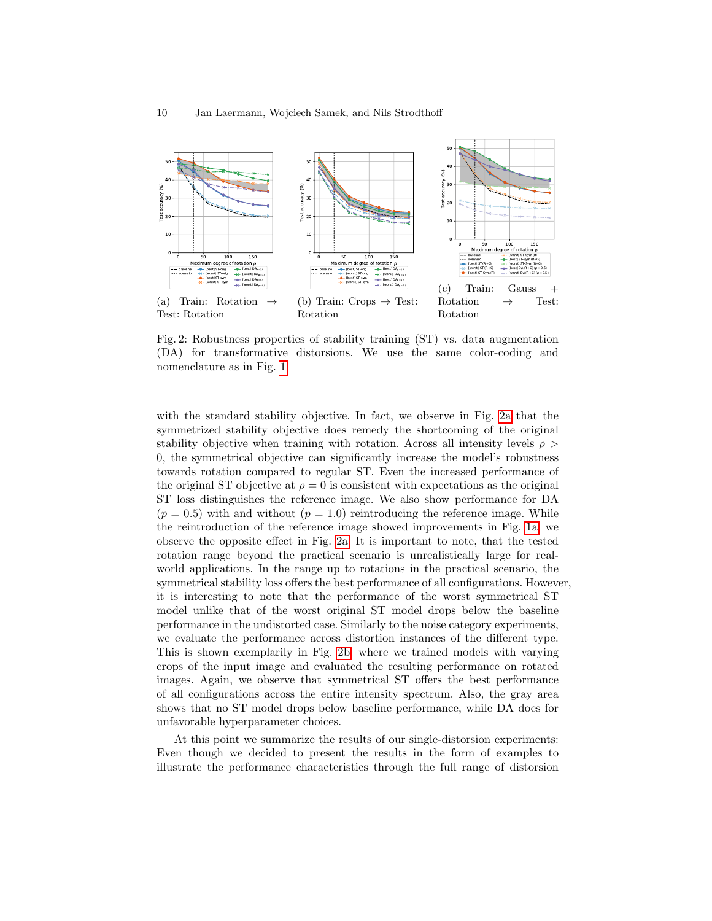<span id="page-9-0"></span>

Fig. 2: Robustness properties of stability training (ST) vs. data augmentation (DA) for transformative distorsions. We use the same color-coding and nomenclature as in Fig. [1.](#page-7-0)

with the standard stability objective. In fact, we observe in Fig. [2a](#page-9-0) that the symmetrized stability objective does remedy the shortcoming of the original stability objective when training with rotation. Across all intensity levels  $\rho >$ 0, the symmetrical objective can significantly increase the model's robustness towards rotation compared to regular ST. Even the increased performance of the original ST objective at  $\rho = 0$  is consistent with expectations as the original ST loss distinguishes the reference image. We also show performance for DA  $(p = 0.5)$  with and without  $(p = 1.0)$  reintroducing the reference image. While the reintroduction of the reference image showed improvements in Fig. [1a,](#page-7-0) we observe the opposite effect in Fig. [2a.](#page-9-0) It is important to note, that the tested rotation range beyond the practical scenario is unrealistically large for realworld applications. In the range up to rotations in the practical scenario, the symmetrical stability loss offers the best performance of all configurations. However, it is interesting to note that the performance of the worst symmetrical ST model unlike that of the worst original ST model drops below the baseline performance in the undistorted case. Similarly to the noise category experiments, we evaluate the performance across distortion instances of the different type. This is shown exemplarily in Fig. [2b,](#page-9-0) where we trained models with varying crops of the input image and evaluated the resulting performance on rotated images. Again, we observe that symmetrical ST offers the best performance of all configurations across the entire intensity spectrum. Also, the gray area shows that no ST model drops below baseline performance, while DA does for unfavorable hyperparameter choices.

At this point we summarize the results of our single-distorsion experiments: Even though we decided to present the results in the form of examples to illustrate the performance characteristics through the full range of distorsion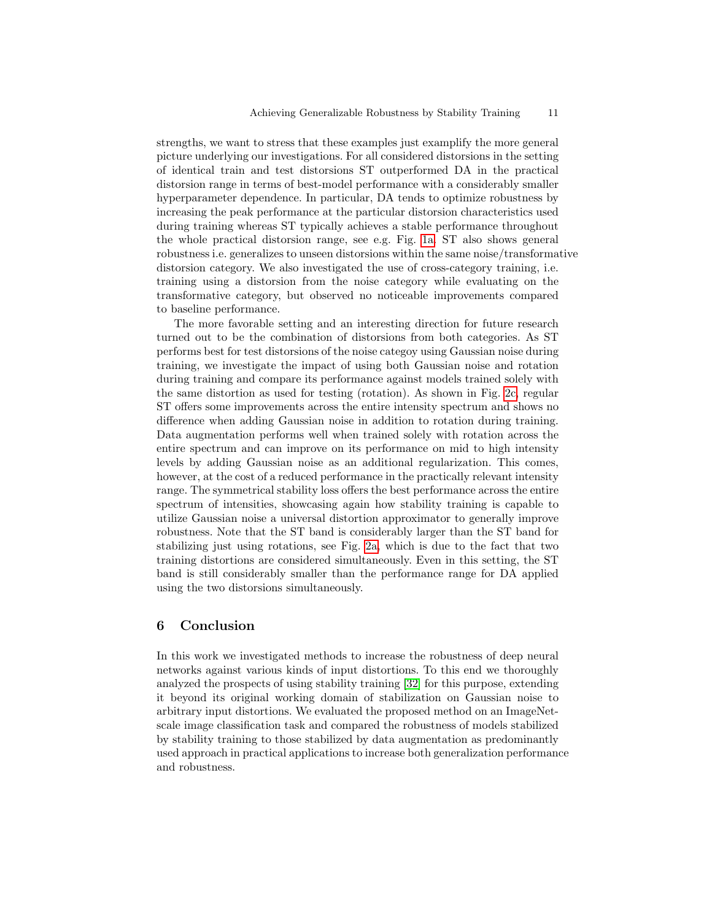strengths, we want to stress that these examples just examplify the more general picture underlying our investigations. For all considered distorsions in the setting of identical train and test distorsions ST outperformed DA in the practical distorsion range in terms of best-model performance with a considerably smaller hyperparameter dependence. In particular, DA tends to optimize robustness by increasing the peak performance at the particular distorsion characteristics used during training whereas ST typically achieves a stable performance throughout the whole practical distorsion range, see e.g. Fig. [1a.](#page-7-0) ST also shows general robustness i.e. generalizes to unseen distorsions within the same noise/transformative distorsion category. We also investigated the use of cross-category training, i.e. training using a distorsion from the noise category while evaluating on the transformative category, but observed no noticeable improvements compared to baseline performance.

The more favorable setting and an interesting direction for future research turned out to be the combination of distorsions from both categories. As ST performs best for test distorsions of the noise categoy using Gaussian noise during training, we investigate the impact of using both Gaussian noise and rotation during training and compare its performance against models trained solely with the same distortion as used for testing (rotation). As shown in Fig. [2c,](#page-9-0) regular ST offers some improvements across the entire intensity spectrum and shows no difference when adding Gaussian noise in addition to rotation during training. Data augmentation performs well when trained solely with rotation across the entire spectrum and can improve on its performance on mid to high intensity levels by adding Gaussian noise as an additional regularization. This comes, however, at the cost of a reduced performance in the practically relevant intensity range. The symmetrical stability loss offers the best performance across the entire spectrum of intensities, showcasing again how stability training is capable to utilize Gaussian noise a universal distortion approximator to generally improve robustness. Note that the ST band is considerably larger than the ST band for stabilizing just using rotations, see Fig. [2a,](#page-9-0) which is due to the fact that two training distortions are considered simultaneously. Even in this setting, the ST band is still considerably smaller than the performance range for DA applied using the two distorsions simultaneously.

# 6 Conclusion

In this work we investigated methods to increase the robustness of deep neural networks against various kinds of input distortions. To this end we thoroughly analyzed the prospects of using stability training [\[32\]](#page-13-0) for this purpose, extending it beyond its original working domain of stabilization on Gaussian noise to arbitrary input distortions. We evaluated the proposed method on an ImageNetscale image classification task and compared the robustness of models stabilized by stability training to those stabilized by data augmentation as predominantly used approach in practical applications to increase both generalization performance and robustness.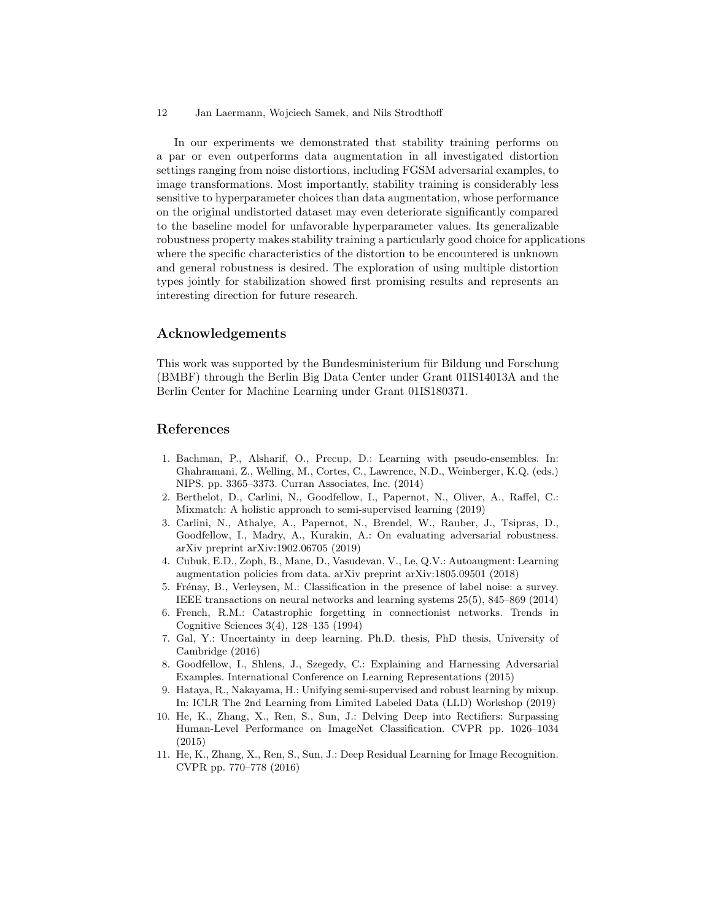#### 12 Jan Laermann, Wojciech Samek, and Nils Strodthoff

In our experiments we demonstrated that stability training performs on a par or even outperforms data augmentation in all investigated distortion settings ranging from noise distortions, including FGSM adversarial examples, to image transformations. Most importantly, stability training is considerably less sensitive to hyperparameter choices than data augmentation, whose performance on the original undistorted dataset may even deteriorate significantly compared to the baseline model for unfavorable hyperparameter values. Its generalizable robustness property makes stability training a particularly good choice for applications where the specific characteristics of the distortion to be encountered is unknown and general robustness is desired. The exploration of using multiple distortion types jointly for stabilization showed first promising results and represents an interesting direction for future research.

## Acknowledgements

This work was supported by the Bundesministerium für Bildung und Forschung (BMBF) through the Berlin Big Data Center under Grant 01IS14013A and the Berlin Center for Machine Learning under Grant 01IS180371.

## References

- <span id="page-11-4"></span>1. Bachman, P., Alsharif, O., Precup, D.: Learning with pseudo-ensembles. In: Ghahramani, Z., Welling, M., Cortes, C., Lawrence, N.D., Weinberger, K.Q. (eds.) NIPS. pp. 3365–3373. Curran Associates, Inc. (2014)
- <span id="page-11-5"></span>2. Berthelot, D., Carlini, N., Goodfellow, I., Papernot, N., Oliver, A., Raffel, C.: Mixmatch: A holistic approach to semi-supervised learning (2019)
- <span id="page-11-10"></span>3. Carlini, N., Athalye, A., Papernot, N., Brendel, W., Rauber, J., Tsipras, D., Goodfellow, I., Madry, A., Kurakin, A.: On evaluating adversarial robustness. arXiv preprint arXiv:1902.06705 (2019)
- <span id="page-11-6"></span>4. Cubuk, E.D., Zoph, B., Mane, D., Vasudevan, V., Le, Q.V.: Autoaugment: Learning augmentation policies from data. arXiv preprint arXiv:1805.09501 (2018)
- <span id="page-11-2"></span>5. Frénay, B., Verleysen, M.: Classification in the presence of label noise: a survey. IEEE transactions on neural networks and learning systems 25(5), 845–869 (2014)
- <span id="page-11-9"></span>6. French, R.M.: Catastrophic forgetting in connectionist networks. Trends in Cognitive Sciences 3(4), 128–135 (1994)
- <span id="page-11-1"></span>7. Gal, Y.: Uncertainty in deep learning. Ph.D. thesis, PhD thesis, University of Cambridge (2016)
- <span id="page-11-3"></span>8. Goodfellow, I., Shlens, J., Szegedy, C.: Explaining and Harnessing Adversarial Examples. International Conference on Learning Representations (2015)
- <span id="page-11-7"></span>9. Hataya, R., Nakayama, H.: Unifying semi-supervised and robust learning by mixup. In: ICLR The 2nd Learning from Limited Labeled Data (LLD) Workshop (2019)
- <span id="page-11-0"></span>10. He, K., Zhang, X., Ren, S., Sun, J.: Delving Deep into Rectifiers: Surpassing Human-Level Performance on ImageNet Classification. CVPR pp. 1026–1034 (2015)
- <span id="page-11-8"></span>11. He, K., Zhang, X., Ren, S., Sun, J.: Deep Residual Learning for Image Recognition. CVPR pp. 770–778 (2016)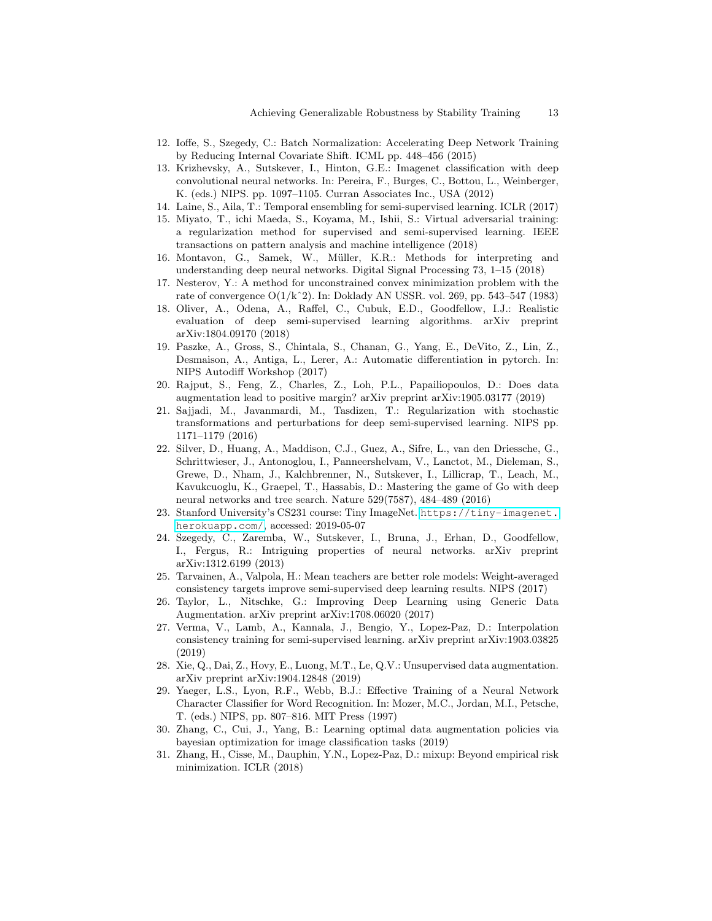- <span id="page-12-18"></span>12. Ioffe, S., Szegedy, C.: Batch Normalization: Accelerating Deep Network Training by Reducing Internal Covariate Shift. ICML pp. 448–456 (2015)
- <span id="page-12-3"></span>13. Krizhevsky, A., Sutskever, I., Hinton, G.E.: Imagenet classification with deep convolutional neural networks. In: Pereira, F., Burges, C., Bottou, L., Weinberger, K. (eds.) NIPS. pp. 1097–1105. Curran Associates Inc., USA (2012)
- <span id="page-12-7"></span>14. Laine, S., Aila, T.: Temporal ensembling for semi-supervised learning. ICLR (2017)
- <span id="page-12-10"></span>15. Miyato, T., ichi Maeda, S., Koyama, M., Ishii, S.: Virtual adversarial training: a regularization method for supervised and semi-supervised learning. IEEE transactions on pattern analysis and machine intelligence (2018)
- <span id="page-12-1"></span>16. Montavon, G., Samek, W., M¨uller, K.R.: Methods for interpreting and understanding deep neural networks. Digital Signal Processing 73, 1–15 (2018)
- <span id="page-12-17"></span>17. Nesterov, Y.: A method for unconstrained convex minimization problem with the rate of convergence  $O(1/k^2)$ . In: Doklady AN USSR. vol. 269, pp. 543–547 (1983)
- <span id="page-12-6"></span>18. Oliver, A., Odena, A., Raffel, C., Cubuk, E.D., Goodfellow, I.J.: Realistic evaluation of deep semi-supervised learning algorithms. arXiv preprint arXiv:1804.09170 (2018)
- <span id="page-12-19"></span>19. Paszke, A., Gross, S., Chintala, S., Chanan, G., Yang, E., DeVito, Z., Lin, Z., Desmaison, A., Antiga, L., Lerer, A.: Automatic differentiation in pytorch. In: NIPS Autodiff Workshop (2017)
- <span id="page-12-12"></span>20. Rajput, S., Feng, Z., Charles, Z., Loh, P.L., Papailiopoulos, D.: Does data augmentation lead to positive margin? arXiv preprint arXiv:1905.03177 (2019)
- <span id="page-12-8"></span>21. Sajjadi, M., Javanmardi, M., Tasdizen, T.: Regularization with stochastic transformations and perturbations for deep semi-supervised learning. NIPS pp. 1171–1179 (2016)
- <span id="page-12-0"></span>22. Silver, D., Huang, A., Maddison, C.J., Guez, A., Sifre, L., van den Driessche, G., Schrittwieser, J., Antonoglou, I., Panneershelvam, V., Lanctot, M., Dieleman, S., Grewe, D., Nham, J., Kalchbrenner, N., Sutskever, I., Lillicrap, T., Leach, M., Kavukcuoglu, K., Graepel, T., Hassabis, D.: Mastering the game of Go with deep neural networks and tree search. Nature 529(7587), 484–489 (2016)
- <span id="page-12-16"></span>23. Stanford University's CS231 course: Tiny ImageNet. [https://tiny-imagenet.](https://tiny-imagenet.herokuapp.com/) [herokuapp.com/](https://tiny-imagenet.herokuapp.com/), accessed: 2019-05-07
- <span id="page-12-2"></span>24. Szegedy, C., Zaremba, W., Sutskever, I., Bruna, J., Erhan, D., Goodfellow, I., Fergus, R.: Intriguing properties of neural networks. arXiv preprint arXiv:1312.6199 (2013)
- <span id="page-12-9"></span>25. Tarvainen, A., Valpola, H.: Mean teachers are better role models: Weight-averaged consistency targets improve semi-supervised deep learning results. NIPS (2017)
- <span id="page-12-5"></span>26. Taylor, L., Nitschke, G.: Improving Deep Learning using Generic Data Augmentation. arXiv preprint arXiv:1708.06020 (2017)
- <span id="page-12-15"></span>27. Verma, V., Lamb, A., Kannala, J., Bengio, Y., Lopez-Paz, D.: Interpolation consistency training for semi-supervised learning. arXiv preprint arXiv:1903.03825 (2019)
- <span id="page-12-11"></span>28. Xie, Q., Dai, Z., Hovy, E., Luong, M.T., Le, Q.V.: Unsupervised data augmentation. arXiv preprint arXiv:1904.12848 (2019)
- <span id="page-12-4"></span>29. Yaeger, L.S., Lyon, R.F., Webb, B.J.: Effective Training of a Neural Network Character Classifier for Word Recognition. In: Mozer, M.C., Jordan, M.I., Petsche, T. (eds.) NIPS, pp. 807–816. MIT Press (1997)
- <span id="page-12-13"></span>30. Zhang, C., Cui, J., Yang, B.: Learning optimal data augmentation policies via bayesian optimization for image classification tasks (2019)
- <span id="page-12-14"></span>31. Zhang, H., Cisse, M., Dauphin, Y.N., Lopez-Paz, D.: mixup: Beyond empirical risk minimization. ICLR (2018)